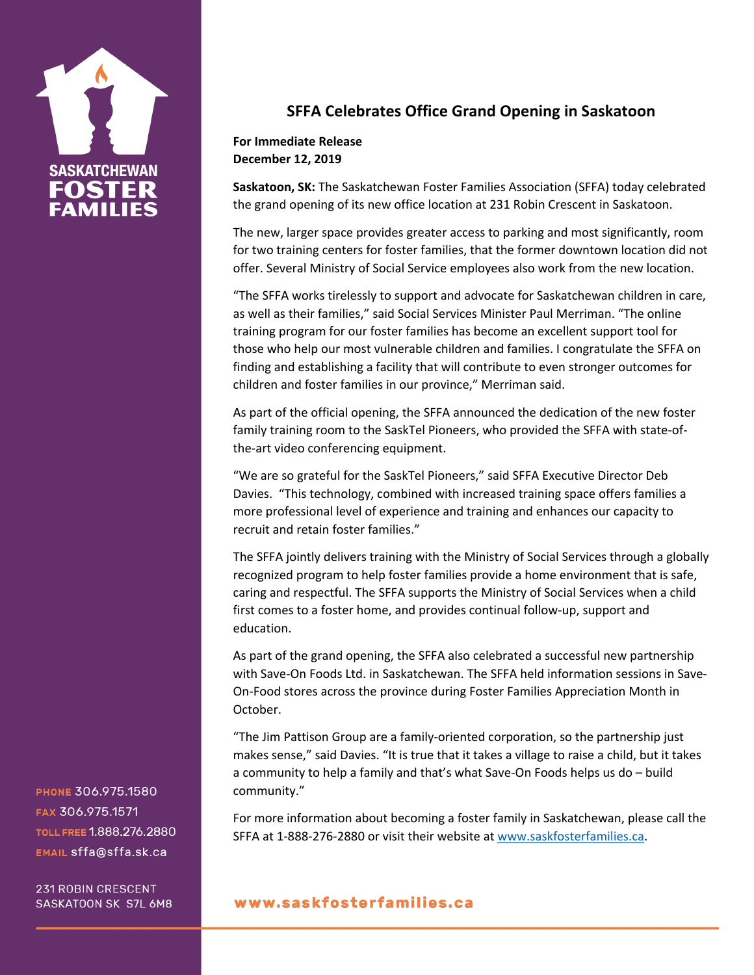

## **SFFA Celebrates Office Grand Opening in Saskatoon**

## **For Immediate Release December 12, 2019**

**Saskatoon, SK:** The Saskatchewan Foster Families Association (SFFA) today celebrated the grand opening of its new office location at 231 Robin Crescent in Saskatoon.

The new, larger space provides greater access to parking and most significantly, room for two training centers for foster families, that the former downtown location did not offer. Several Ministry of Social Service employees also work from the new location.

"The SFFA works tirelessly to support and advocate for Saskatchewan children in care, as well as their families," said Social Services Minister Paul Merriman. "The online training program for our foster families has become an excellent support tool for those who help our most vulnerable children and families. I congratulate the SFFA on finding and establishing a facility that will contribute to even stronger outcomes for children and foster families in our province," Merriman said.

As part of the official opening, the SFFA announced the dedication of the new foster family training room to the SaskTel Pioneers, who provided the SFFA with state-ofthe-art video conferencing equipment.

"We are so grateful for the SaskTel Pioneers," said SFFA Executive Director Deb Davies. "This technology, combined with increased training space offers families a more professional level of experience and training and enhances our capacity to recruit and retain foster families."

The SFFA jointly delivers training with the Ministry of Social Services through a globally recognized program to help foster families provide a home environment that is safe, caring and respectful. The SFFA supports the Ministry of Social Services when a child first comes to a foster home, and provides continual follow-up, support and education.

As part of the grand opening, the SFFA also celebrated a successful new partnership with Save-On Foods Ltd. in Saskatchewan. The SFFA held information sessions in Save-On-Food stores across the province during Foster Families Appreciation Month in October.

"The Jim Pattison Group are a family-oriented corporation, so the partnership just makes sense," said Davies. "It is true that it takes a village to raise a child, but it takes a community to help a family and that's what Save-On Foods helps us do – build community."

For more information about becoming a foster family in Saskatchewan, please call the SFFA at 1-888-276-2880 or visit their website at www.saskfosterfamilies.ca.

PHONE 306.975.1580 FAX 306.975.1571 TOLL FREE 1.888.276.2880 EMAIL sffa@sffa.sk.ca

**231 ROBIN CRESCENT** SASKATOON SK S7L 6M8

## www.saskfosterfamilies.ca